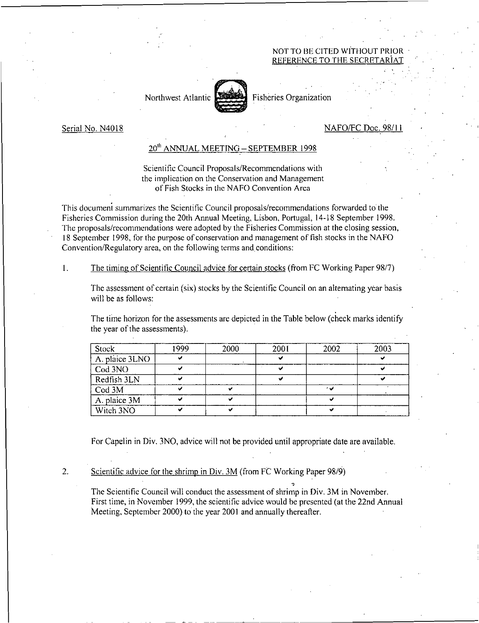## NOT TO BE CITED WITHOUT PRIOR REFERENCE TO THE SECRE



Northwest Atlantic Fisheries Organization

Serial No. N4018 NAFO/FC Doc. 98/1 I

## 20"' ANNUALMEETING — SEPTEMBER 1998

Scientific Council Proposals/Recommendations with the implication on the Conservation and Management of Fish Stocks in the NAFO Convention Area

This document summarizes the Scientific Council proposals/recommendations forwarded to' the Fisheries Commission during the 20th Annual Meeting, Lisbon, Portugal, 14-18 September 1998. The proposals/recommendations were adopted by the Fisheries Commission at the closing session, 18 September 1998, for the purpose of conservation and management of fish stocks in the NAFO Convention/Regulatory area, on the following terms and conditions:

1. The timing of Scientific Council advice for certain stocks (from FC Working Paper 98/7)

The assessment of certain (six) stocks by the Scientific Council on an alternating year basis will be as follows:

The time horizon for the assessments are depicted in the Table below (check marks identify the year of the assessments).

| Stock          | 1999 | 2000 | 200 l | 2002 | 2003 |
|----------------|------|------|-------|------|------|
| A. plaice 3LNO |      |      |       |      |      |
| Cod 3NO        |      |      |       |      |      |
| Redfish $3LN$  |      |      |       |      |      |
| Cod 3M         |      |      |       | اس ا |      |
| A. plaice 3M   |      |      |       |      |      |
| Witch 3NO      |      |      |       |      |      |

For Capelin in Div. 3NO, advice will not be provided until appropriate date are available.

2. Scientific advice for the shrimp in Div. 3M (from FC Working Paper 98/9)

The Scientific Council will conduct the assessment of shrimp in Div. 3M in November. First time, in November 1999, the scientific advice would be presented (at the 22nd Annual Meeting, September 2000) to the year 2001 and annually thereafter.